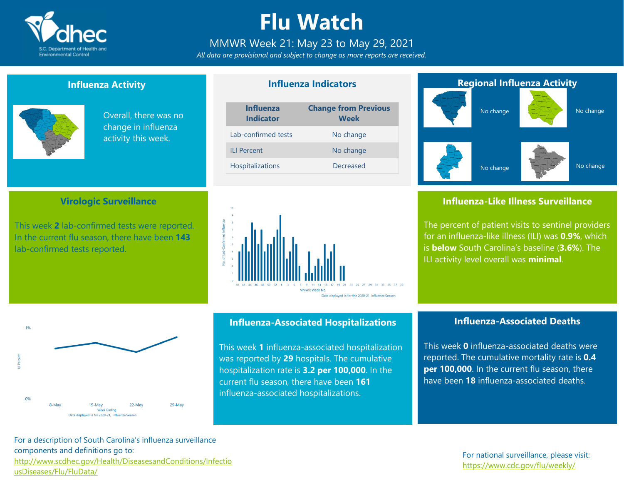

# **Flu Watch**

### MMWR Week 21: May 23 to May 29, 2021

*All data are provisional and subject to change as more reports are received.*

**Influenza Indicators**

### **Influenza Activity**

**Virologic Surveillance**

This week **2** lab-confirmed tests were reported. In the current flu season, there have been **143**

lab-confirmed tests reported.



Overall, there was no change in influenza activity this week.

#### **Influenza Change from Previous**

| <b>Indicator</b>        | <b>Week</b> |
|-------------------------|-------------|
| Lab-confirmed tests     | No change   |
| <b>ILI Percent</b>      | No change   |
| <b>Hospitalizations</b> | Decreased   |



# **Regional Influenza Activity** No change No change

No change

### **Influenza-Like Illness Surveillance**

No change

The percent of patient visits to sentinel providers for an influenza-like illness (ILI) was **0.9%**, which is **below** South Carolina's baseline (**3.6%**). The ILI activity level overall was **minimal**.



### **Influenza-Associated Hospitalizations**

This week **1** influenza-associated hospitalization was reported by **29** hospitals. The cumulative hospitalization rate is **3.2 per 100,000**. In the current flu season, there have been **161** influenza-associated hospitalizations.

### **Influenza-Associated Deaths**

This week **0** influenza-associated deaths were reported. The cumulative mortality rate is **0.4 per 100,000**. In the current flu season, there have been **18** influenza-associated deaths.

For a description of South Carolina's influenza surveillance components and definitions go to: [http://www.scdhec.gov/Health/DiseasesandConditions/Infectio](http://www.scdhec.gov/Health/DiseasesandConditions/InfectiousDiseases/Flu/FluData/) [usDiseases/Flu/FluData/](http://www.scdhec.gov/Health/DiseasesandConditions/InfectiousDiseases/Flu/FluData/)

### For national surveillance, please visit: <https://www.cdc.gov/flu/weekly/>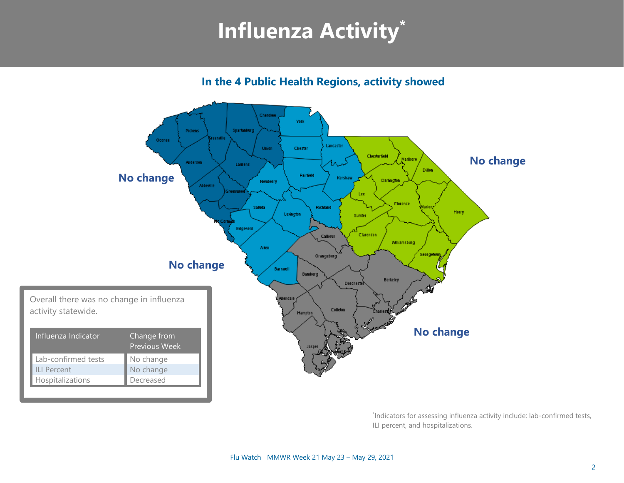# **Influenza Activity\***

**In the 4 Public Health Regions, activity showed**



\* Indicators for assessing influenza activity include: lab-confirmed tests, ILI percent, and hospitalizations.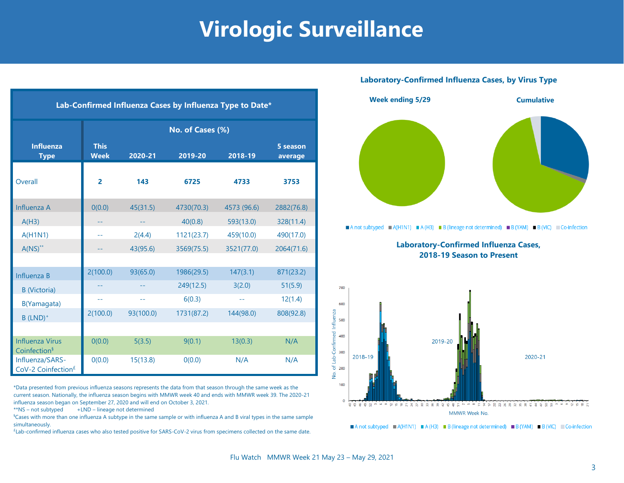# **Virologic Surveillance**

| Lab-Confirmed Influenza Cases by Influenza Type to Date* |                            |           |            |             |                     |  |  |  |
|----------------------------------------------------------|----------------------------|-----------|------------|-------------|---------------------|--|--|--|
|                                                          | No. of Cases (%)           |           |            |             |                     |  |  |  |
| <b>Influenza</b><br><b>Type</b>                          | <b>This</b><br><b>Week</b> | 2020-21   | 2019-20    | 2018-19     | 5 season<br>average |  |  |  |
| Overall                                                  | $\overline{2}$             | 143       | 6725       | 4733        | 3753                |  |  |  |
| Influenza A                                              | 0(0.0)                     | 45(31.5)  | 4730(70.3) | 4573 (96.6) | 2882(76.8)          |  |  |  |
| A(H3)                                                    |                            |           | 40(0.8)    | 593(13.0)   | 328(11.4)           |  |  |  |
| A(H1N1)                                                  | $-1$                       | 2(4.4)    | 1121(23.7) | 459(10.0)   | 490(17.0)           |  |  |  |
| $A(NS)^{**}$                                             |                            | 43(95.6)  | 3569(75.5) | 3521(77.0)  | 2064(71.6)          |  |  |  |
|                                                          |                            |           |            |             |                     |  |  |  |
| Influenza B                                              | 2(100.0)                   | 93(65.0)  | 1986(29.5) | 147(3.1)    | 871(23.2)           |  |  |  |
| <b>B</b> (Victoria)                                      |                            |           | 249(12.5)  | 3(2.0)      | 51(5.9)             |  |  |  |
| B(Yamagata)                                              | 44                         | $-1$      | 6(0.3)     | $-1$        | 12(1.4)             |  |  |  |
| $B$ (LND) <sup>+</sup>                                   | 2(100.0)                   | 93(100.0) | 1731(87.2) | 144(98.0)   | 808(92.8)           |  |  |  |
|                                                          |                            |           |            |             |                     |  |  |  |
| <b>Influenza Virus</b><br>Coinfection <sup>§</sup>       | 0(0.0)                     | 5(3.5)    | 9(0.1)     | 13(0.3)     | N/A                 |  |  |  |
| Influenza/SARS-<br>CoV-2 Coinfection <sup>£</sup>        | 0(0.0)                     | 15(13.8)  | 0(0.0)     | N/A         | N/A                 |  |  |  |

\*Data presented from previous influenza seasons represents the data from that season through the same week as the current season. Nationally, the influenza season begins with MMWR week 40 and ends with MMWR week 39. The 2020-21 influenza season began on September 27, 2020 and will end on October 3, 2021.

 $**$ NS – not subtyped  $+LND$  – lineage not determined

§Cases with more than one influenza A subtype in the same sample or with influenza A and B viral types in the same sample simultaneously.

£ Lab-confirmed influenza cases who also tested positive for SARS-CoV-2 virus from specimens collected on the same date.

#### **Laboratory-Confirmed Influenza Cases, by Virus Type**



A not subtyped  $\blacksquare$  A(H1N1)  $\blacksquare$  A(H3)  $\blacksquare$  B (lineage not determined)  $\blacksquare$  B (YAM)  $\blacksquare$  B (VIC)  $\blacksquare$  Co-infection

**Laboratory-Confirmed Influenza Cases, 2018-19 Season to Present**



A not subtyped  $A(H1N1) = A(H3) = B$  (lineage not determined) B (YAM) B (VIC) Co-infection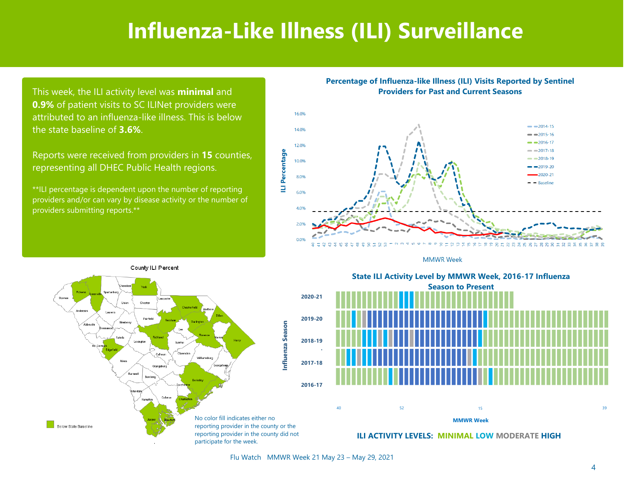## **Influenza-Like Illness (ILI) Surveillance**

This week, the ILI activity level was **minimal** and **0.9%** of patient visits to SC ILINet providers were attributed to an influenza-like illness. This is below the state baseline of **3.6%**.

Reports were received from providers in **15** counties, representing all DHEC Public Health regions.

\*\*ILI percentage is dependent upon the number of reporting providers and/or can vary by disease activity or the number of providers submitting reports.\*\*

**Percentage of Influenza-like Illness (ILI) Visits Reported by Sentinel Providers for Past and Current Seasons**



**MMWR Week** 



State ILI Activity Level by MMWR Week, 2016-17 Influenza **Season to Present** Season to Present **State ILI Activity Level by MMWR Week, 2016-17 Influenza**

**ILI ACTIVITY LEVELS: MINIMAL LOW MODERATE HIGH**

**MMWR Week**

Flu Watch MMWR Week 21 May 23 – May 29, 2021